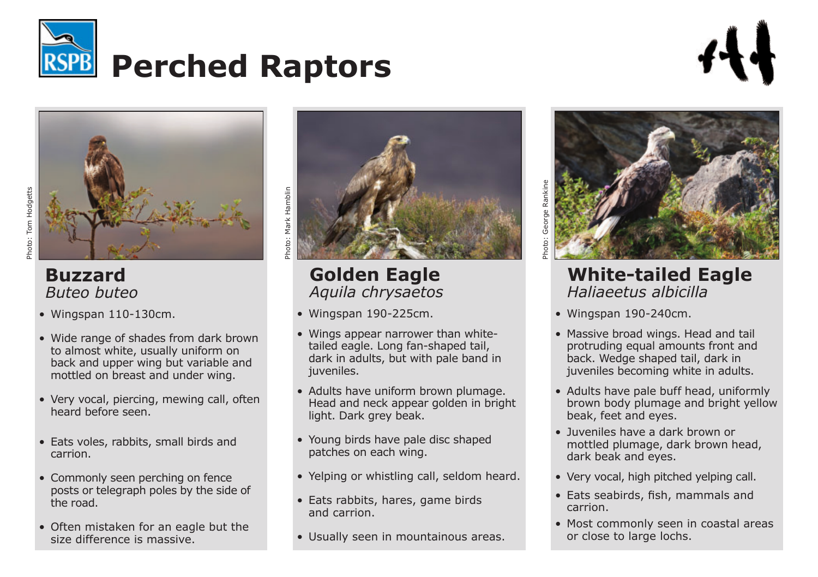



## **Buzzard** *Buteo buteo*

- • Wingspan 110-130cm.
- Wide range of shades from dark brown to almost white, usually uniform on back and upper wing but variable and mottled on breast and under wing.
- Very vocal, piercing, mewing call, often heard before seen.
- • Eats voles, rabbits, small birds and carrion.
- Commonly seen perching on fence posts or telegraph poles by the side of the road.
- Often mistaken for an eagle but the size difference is massive.



## **Golden Eagle** *Aquila chrysaetos*

- $\bullet$  Wingspan 190-225cm.
- Wings appear narrower than whitetailed eagle. Long fan-shaped tail, dark in adults, but with pale band in juveniles.
- Adults have uniform brown plumage. Head and neck appear golden in bright light. Dark grey beak.
- Young birds have pale disc shaped patches on each wing.
- Yelping or whistling call, seldom heard.
- Eats rabbits, hares, game birds and carrion.
- Usually seen in mountainous areas.



## **White-tailed Eagle** *Haliaeetus albicilla*

 $\bullet$  Wingspan 190-240cm.

Photo: George Rankine

George oto:

- Massive broad wings. Head and tail protruding equal amounts front and back. Wedge shaped tail, dark in juveniles becoming white in adults.
- Adults have pale buff head, uniformly brown body plumage and bright yellow beak, feet and eyes.
- • Juveniles have a dark brown or mottled plumage, dark brown head, dark beak and eyes.
- Very vocal, high pitched yelping call.
- • Eats seabirds, fish, mammals and carrion.
- Most commonly seen in coastal areas or close to large lochs.